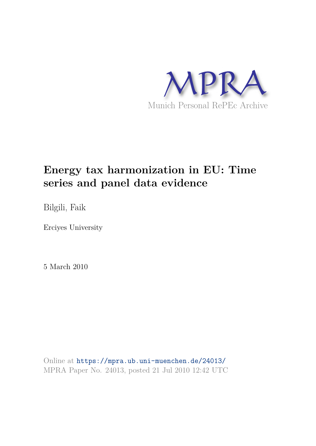

# **Energy tax harmonization in EU: Time series and panel data evidence**

Bilgili, Faik

Erciyes University

5 March 2010

Online at https://mpra.ub.uni-muenchen.de/24013/ MPRA Paper No. 24013, posted 21 Jul 2010 12:42 UTC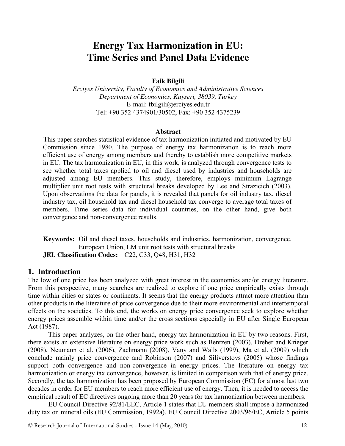# **Energy Tax Harmonization in EU: Time Series and Panel Data Evidence**

#### **Faik Bilgili**

*Erciyes University, Faculty of Economics and Administrative Sciences Department of Economics, Kayseri, 38039, Turkey*  E-mail: fbilgili@erciyes.edu.tr Tel: +90 352 4374901/30502, Fax: +90 352 4375239

#### **Abstract**

This paper searches statistical evidence of tax harmonization initiated and motivated by EU Commission since 1980. The purpose of energy tax harmonization is to reach more efficient use of energy among members and thereby to establish more competitive markets in EU. The tax harmonization in EU, in this work, is analyzed through convergence tests to see whether total taxes applied to oil and diesel used by industries and households are adjusted among EU members. This study, therefore, employs minimum Lagrange multiplier unit root tests with structural breaks developed by Lee and Strazicich (2003). Upon observations the data for panels, it is revealed that panels for oil industry tax, diesel industry tax, oil household tax and diesel household tax converge to average total taxes of members. Time series data for individual countries, on the other hand, give both convergence and non-convergence results.

**Keywords:** Oil and diesel taxes, households and industries, harmonization, convergence, European Union, LM unit root tests with structural breaks **JEL Classification Codes:** C22, C33, Q48, H31, H32

#### **1. Introduction**

The low of one price has been analyzed with great interest in the economics and/or energy literature. From this perspective, many searches are realized to explore if one price empirically exists through time within cities or states or continents. It seems that the energy products attract more attention than other products in the literature of price convergence due to their more environmental and intertemporal effects on the societies. To this end, the works on energy price convergence seek to explore whether energy prices assemble within time and/or the cross sections especially in EU after Single European Act (1987).

This paper analyzes, on the other hand, energy tax harmonization in EU by two reasons. First, there exists an extensive literature on energy price work such as Bentzen (2003), Dreher and Krieger (2008), Neumann et al. (2006), Zachmann (2008), Vany and Walls (1999), Ma et al. (2009) which conclude mainly price convergence and Robinson (2007) and Siliverstovs (2005) whose findings support both convergence and non-convergence in energy prices. The literature on energy tax harmonization or energy tax convergence, however, is limited in comparison with that of energy price. Secondly, the tax harmonization has been proposed by European Commission (EC) for almost last two decades in order for EU members to reach more efficient use of energy. Then, it is needed to access the empirical result of EC directives ongoing more than 20 years for tax harmonization between members.

EU Council Directive 92/81/EEC, Article 1 states that EU members shall impose a harmonized duty tax on mineral oils (EU Commission, 1992a). EU Council Directive 2003/96/EC, Article 5 points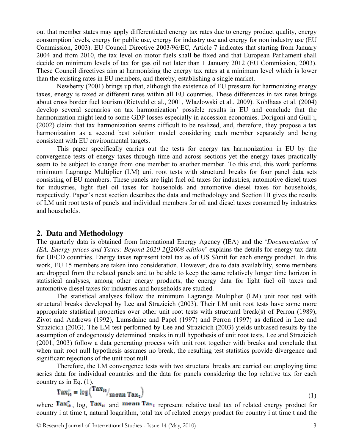out that member states may apply differentiated energy tax rates due to energy product quality, energy consumption levels, energy for public use, energy for industry use and energy for non industry use (EU Commission, 2003). EU Council Directive 2003/96/EC, Article 7 indicates that starting from January 2004 and from 2010, the tax level on motor fuels shall be fixed and that European Parliament shall decide on minimum levels of tax for gas oil not later than 1 January 2012 (EU Commission, 2003). These Council directives aim at harmonizing the energy tax rates at a minimum level which is lower than the existing rates in EU members, and thereby, establishing a single market.

Newberry (2001) brings up that, although the existence of EU pressure for harmonizing energy taxes, energy is taxed at different rates within all EU countries. These differences in tax rates brings about cross border fuel tourism (Rietveld et al., 2001, Wlazlowski et al., 2009). Kohlhaas et al. (2004) develop several scenarios on tax harmonization' possible results in EU and conclude that the harmonization might lead to some GDP losses especially in accession economies. Dorigoni and Gull'1, (2002) claim that tax harmonization seems difficult to be realized, and, therefore, they propose a tax harmonization as a second best solution model considering each member separately and being consistent with EU environmental targets.

This paper specifically carries out the tests for energy tax harmonization in EU by the convergence tests of energy taxes through time and across sections yet the energy taxes practically seem to be subject to change from one member to another member. To this end, this work performs minimum Lagrange Multiplier (LM) unit root tests with structural breaks for four panel data sets consisting of EU members. These panels are light fuel oil taxes for industries, automotive diesel taxes for industries, light fuel oil taxes for households and automotive diesel taxes for households, respectively. Paper's next section describes the data and methodology and Section III gives the results of LM unit root tests of panels and individual members for oil and diesel taxes consumed by industries and households.

#### **2. Data and Methodology**

The quarterly data is obtained from International Energy Agency (IEA) and the '*Documentation of IEA, Energy prices and Taxes: Beyond 2020 2Q2008 edition*' explains the details for energy tax data for OECD countries. Energy taxes represent total tax as of US \$/unit for each energy product. In this work, EU 15 members are taken into consideration. However, due to data availability, some members are dropped from the related panels and to be able to keep the same relatively longer time horizon in statistical analyses, among other energy products, the energy data for light fuel oil taxes and automotive diesel taxes for industries and households are studied.

The statistical analyses follow the minimum Lagrange Multiplier (LM) unit root test with structural breaks developed by Lee and Strazicich (2003). Their LM unit root tests have some more appropriate statistical properties over other unit root tests with structural break(s) of Perron (1989), Zivot and Andrews (1992), Lumsdaine and Papel (1997) and Perron (1997) as defined in Lee and Strazicich (2003). The LM test performed by Lee and Strazicich (2003) yields unbiased results by the assumption of endogenously determined breaks in null hypothesis of unit root tests. Lee and Strazicich (2001, 2003) follow a data generating process with unit root together with breaks and conclude that when unit root null hypothesis assumes no break, the resulting test statistics provide divergence and significant rejections of the unit root null.

Therefore, the LM convergence tests with two structural breaks are carried out employing time series data for individual countries and the data for panels considering the log relative tax for each

country as in Eq. (1).<br>  $\text{Tax}_{it}^* = \log \left( \frac{\text{Tax}_{it}}{\text{Tax}_{it}} \right)_{\text{mean } \text{Tax}_{it}} \right)$ 

where  $\text{Tar}_{it}$ , log,  $\text{Tar}_{it}$  and  $\text{mean Tax}_{it}$  represent relative total tax of related energy product for country i at time t, natural logarithm, total tax of related energy product for country i at time t and the

(1)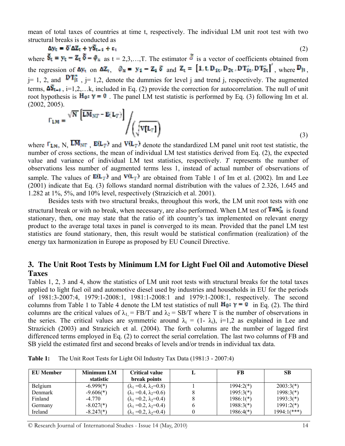mean of total taxes of countries at time t, respectively. The individual LM unit root test with two structural breaks is conducted as

$$
\Delta y_t = \delta^t \Delta Z_t + \gamma \delta_{t-1} + \epsilon_t \tag{2}
$$

where  $\mathbf{F}_t = \mathbf{F}_t - \mathbf{Z}_t \mathbf{Q} - \mathbf{\phi}_x$  as  $t = 2, 3, ..., T$ . The estimator  $\mathbf{\phi}$  is a vector of coefficients obtained from the regression of  $\Delta y_t$  on  $\Delta Z_t$ ,  $\phi_N = y_1 - Z_1 \delta$  and  $Z_t = [1, t, D_{1t}, D_{2t}, DT_{1t}^*, DT_{2t}^*]$ , where  $D_{1t}$ .  $j= 1, 2,$  and  $DT_{11}$ ,  $j= 1, 2$ , denote the dummies for level j and trend j, respectively. The augmented terms,  $\Delta S_{t-1}$ , i=1,2,…k, included in Eq. (2) provide the correction for autocorrelation. The null of unit root hypothesis is  $H_0: \gamma = 0$ . The panel LM test statistic is performed by Eq. (3) following Im et al. (2002, 2005).

$$
\Gamma_{LM} = \frac{\sqrt{N} \left[ L M_{NT} - E(L_T) \right]}{\sqrt{\sqrt{V(L_T)}}}
$$
\n(3)

where  $\Gamma_{LM}$ , N,  $\overline{LM}_{NT}$ ,  $E(L_T)$  and  $V(L_T)$  denote the standardized LM panel unit root test statistic, the number of cross sections, the mean of individual LM test statistics derived from Eq. (2), the expected value and variance of individual LM test statistics, respectively. *T* represents the number of observations less number of augmented terms less 1, instead of actual number of observations of sample. The values of  $E(L_T)$  and  $V(L_T)$  are obtained from Table 1 of Im et al. (2002). Im and Lee (2001) indicate that Eq. (3) follows standard normal distribution with the values of 2.326, 1.645 and 1.282 at 1%, 5%, and 10% level, respectively (Strazicich et al. 2001).

Besides tests with two structural breaks, throughout this work, the LM unit root tests with one structural break or with no break, when necessary, are also performed. When LM test of  $Tax_{it}$  is found stationary, then, one may state that the ratio of ith country's tax implemented on relevant energy product to the average total taxes in panel is converged to its mean. Provided that the panel LM test statistics are found stationary, then, this result would be statistical confirmation (realization) of the energy tax harmonization in Europe as proposed by EU Council Directive.

## **3. The Unit Root Tests by Minimum LM for Light Fuel Oil and Automotive Diesel Taxes**

Tables 1, 2, 3 and 4, show the statistics of LM unit root tests with structural breaks for the total taxes applied to light fuel oil and automotive diesel used by industries and households in EU for the periods of 1981:3-2007:4, 1979:1-2008:1, 1981:1-2008:1 and 1979:1-2008:1, respectively. The second columns from Table 1 to Table 4 denote the LM test statistics of null  $\mathbf{H}_{\mathbf{Q}}$ :  $\gamma = 0$  in Eq. (2). The third columns are the critical values of  $\lambda_1 = FB/T$  and  $\lambda_2 = SB/T$  where T is the number of observations in the series. The critical values are symmetric around  $\lambda_i = (1 - \lambda_i)$ , i=1,2 as explained in Lee and Strazicich (2003) and Strazicich et al. (2004). The forth columns are the number of lagged first differenced terms employed in Eq. (2) to correct the serial correlation. The last two columns of FB and SB yield the estimated first and second breaks of levels and/or trends in individual tax data.

| <b>EU</b> Member | Minimum LM  | <b>Critical value</b>                | FB          | <b>SB</b>     |
|------------------|-------------|--------------------------------------|-------------|---------------|
|                  | statistic   | break points                         |             |               |
| Belgium          | $-6.999(*)$ | $(\lambda_1 = 0.4, \lambda_2 = 0.8)$ | $1994:2(*)$ | $2003:3(*)$   |
| Denmark          | $-9.606(*)$ | $(\lambda_1 = 0.4, \lambda_2 = 0.6)$ | $1995:3(*)$ | $1998:3(*)$   |
| Finland          | $-4.770$    | $(\lambda_1 = 0.2, \lambda_2 = 0.4)$ | $1986:1(*)$ | $1993:3(*)$   |
| Germany          | $-8.027(*)$ | $(\lambda_1 = 0.2, \lambda_2 = 0.4)$ | $1988:3(*)$ | $1991:2(*)$   |
| Ireland          | $-8.247(*)$ | $(\lambda_1 = 0.2, \lambda_2 = 0.4)$ | $1986:4(*)$ | $1994:1(***)$ |

**Table 1:** The Unit Root Tests for Light Oil Industry Tax Data (1981:3 - 2007:4)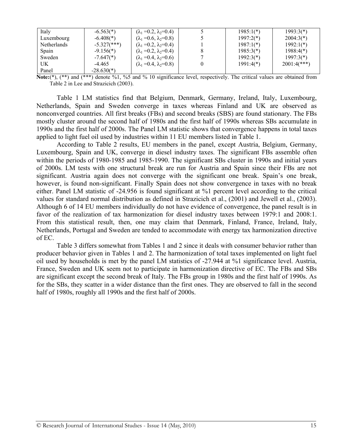| Italy              | $-6.563(*)$               | $(\lambda_1 = 0.2, \lambda_2 = 0.4)$ | $1985:1(*)$ | $1993:3(*)$   |
|--------------------|---------------------------|--------------------------------------|-------------|---------------|
| Luxembourg         | $-6.408(*)$               | $(\lambda_1 = 0.6, \lambda_2 = 0.8)$ | $1997:2(*)$ | $2004:3(*)$   |
| <b>Netherlands</b> | $-5.327$ (***)            | $(\lambda_1 = 0.2, \lambda_2 = 0.4)$ | $1987:1(*)$ | $1992:1(*)$   |
| Spain              | $-9.156(*)$               | $(\lambda_1 = 0.2, \lambda_2 = 0.4)$ | $1985:3(*)$ | $1988:4(*)$   |
| Sweden             | $-7.647$ <sup>(*)</sup> ) | $(\lambda_1 = 0.4, \lambda_2 = 0.6)$ | $1992:3(*)$ | $1997:3(*)$   |
| UK                 | -4.465                    | $(\lambda_1 = 0.4, \lambda_2 = 0.8)$ | $1991:4(*)$ | $2001:4(***)$ |
| Panel              | $-28.630(*)$              |                                      |             |               |

**Note:**(\*), (\*\*) and (\*\*\*) denote %1, %5 and % 10 significance level, respectively. The critical values are obtained from Table 2 in Lee and Strazicich (2003).

Table 1 LM statistics find that Belgium, Denmark, Germany, Ireland, Italy, Luxembourg, Netherlands, Spain and Sweden converge in taxes whereas Finland and UK are observed as nonconverged countries. All first breaks (FBs) and second breaks (SBS) are found stationary. The FBs mostly cluster around the second half of 1980s and the first half of 1990s whereas SBs accumulate in 1990s and the first half of 2000s. The Panel LM statistic shows that convergence happens in total taxes applied to light fuel oil used by industries within 11 EU members listed in Table 1.

According to Table 2 results, EU members in the panel, except Austria, Belgium, Germany, Luxembourg, Spain and UK, converge in diesel industry taxes. The significant FBs assemble often within the periods of 1980-1985 and 1985-1990. The significant SBs cluster in 1990s and initial years of 2000s. LM tests with one structural break are run for Austria and Spain since their FBs are not significant. Austria again does not converge with the significant one break. Spain's one break, however, is found non-significant. Finally Spain does not show convergence in taxes with no break either. Panel LM statistic of -24.956 is found significant at %1 percent level according to the critical values for standard normal distribution as defined in Strazicich et al., (2001) and Jewell et al., (2003). Although 6 of 14 EU members individually do not have evidence of convergence, the panel result is in favor of the realization of tax harmonization for diesel industry taxes between 1979:1 and 2008:1. From this statistical result, then, one may claim that Denmark, Finland, France, Ireland, Italy, Netherlands, Portugal and Sweden are tended to accommodate with energy tax harmonization directive of EC.

Table 3 differs somewhat from Tables 1 and 2 since it deals with consumer behavior rather than producer behavior given in Tables 1 and 2. The harmonization of total taxes implemented on light fuel oil used by households is met by the panel LM statistics of -27.944 at %1 significance level. Austria, France, Sweden and UK seem not to participate in harmonization directive of EC. The FBs and SBs are significant except the second break of Italy. The FBs group in 1980s and the first half of 1990s. As for the SBs, they scatter in a wider distance than the first ones. They are observed to fall in the second half of 1980s, roughly all 1990s and the first half of 2000s.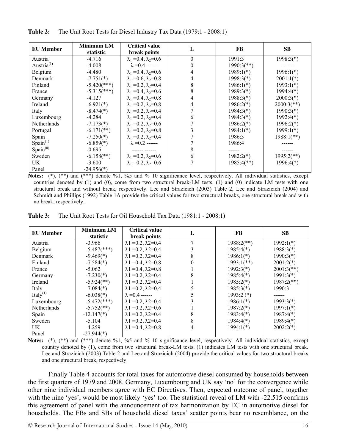| <b>EU</b> Member      | <b>Minimum LM</b><br>statistic | <b>Critical value</b><br>break points | L | FB                       | <b>SB</b>                |
|-----------------------|--------------------------------|---------------------------------------|---|--------------------------|--------------------------|
| Austria               | $-4.716$                       | $\lambda_1 = 0.4$ , $\lambda_2 = 0.6$ | 0 | 1991:3                   | $1998:3(*)$              |
| Austria $^{(1)}$      | $-4.008$                       | $\lambda = 0.4$ ------                |   | $1990:3$ <sup>**</sup> ) |                          |
| Belgium               | $-4.480$                       | $\lambda_1 = 0.4$ , $\lambda_2 = 0.6$ |   | $1989:1(*)$              | $1996:1(*)$              |
| Denmark               | $-7.751(*)$                    | $\lambda_1 = 0.6$ , $\lambda_2 = 0.8$ |   | $1998:3(*)$              | $2001:1(*)$              |
| Finland               | $-5.420$ (***)                 | $\lambda_1 = 0.2$ , $\lambda_2 = 0.4$ | 8 | $1986:1(*)$              | $1993:1(*)$              |
| France                | $-5.315$ <sup>***</sup> )      | $\lambda_1 = 0.4$ , $\lambda_2 = 0.6$ |   | $1989:3(*)$              | $1994:4(*)$              |
| Germany               | $-4.127$                       | $\lambda_1 = 0.4$ , $\lambda_2 = 0.8$ |   | $1988:3(*)$              | $2000:3(*)$              |
| Ireland               | $-6.921(*)$                    | $\lambda_1 = 0.2$ , $\lambda_2 = 0.8$ |   | $1986:2(*)$              | $2000:3(**)$             |
| Italy                 | $-8.474(*)$                    | $\lambda_1 = 0.2$ , $\lambda_2 = 0.4$ |   | $1984:3(*)$              | $1990:3(*)$              |
| Luxembourg            | $-4.284$                       | $\lambda_1 = 0.2$ , $\lambda_2 = 0.4$ | h | $1984:3(*)$              | $1992:4(*)$              |
| Netherlands           | $-7.173(*)$                    | $\lambda_1 = 0.2, \lambda_2 = 0.6$    |   | $1986:2(*)$              | $1996:2(*)$              |
| Portugal              | $-6.171$ (**)                  | $\lambda_1 = 0.2$ , $\lambda_2 = 0.8$ |   | $1984:1(*)$              | $1999:1(*)$              |
| Spain                 | $-7.250(*)$                    | $\lambda_1 = 0.2$ , $\lambda_2 = 0.4$ |   | 1986:3                   | $1988:1$ (**)            |
| Span <sup>(1)</sup>   | $-6.859(*)$                    | $\lambda = 0.2$ ------                |   | 1986:4                   |                          |
| Span <sub>1</sub> (0) | $-0.695$                       |                                       |   |                          |                          |
| Sweden                | $-6.158$ <sup>**</sup> )       | $\lambda_1 = 0.2$ , $\lambda_2 = 0.6$ | h | $1982:2(*)$              | $1995:2$ <sup>**</sup> ) |
| UK.                   | $-3.600$                       | $\lambda_1 = 0.2$ , $\lambda_2 = 0.6$ |   | $1985:4(**)$             | $1996:4(*)$              |
| Panel                 | $-24.956(*)$                   |                                       |   |                          |                          |

**Table 2:** The Unit Root Tests for Diesel Industry Tax Data (1979:1 - 2008:1)

**Notes:** (\*), (\*\*) and (\*\*\*) denote %1, %5 and % 10 significance level, respectively. All individual statistics, except countries denoted by (1) and (0), come from two structural break-LM tests. (1) and (0) indicate LM tests with one structural break and without break, respectively. Lee and Strazicich (2003) Table 2, Lee and Strazicich (2004) and Schmidt and Phillips (1992) Table 1A provide the critical values for two structural breaks, one structural break and with no break, respectively.

| <b>Table 3:</b> The Unit Root Tests for Oil Household Tax Data (1981:1 - 2008:1) |
|----------------------------------------------------------------------------------|
|----------------------------------------------------------------------------------|

| <b>EU</b> Member   | <b>Minimum LM</b><br>statistic | <b>Critical value</b><br>break points | L | FB                       | <b>SB</b>                |
|--------------------|--------------------------------|---------------------------------------|---|--------------------------|--------------------------|
| Austria            | $-3.966$                       | $\lambda$ 1 = 0.2, $\lambda$ 2 = 0.4  |   | $1988:2$ <sup>**</sup> ) | $1992:1(*)$              |
| Belgium            | $-5.487$ (***)                 | $\lambda$ 1 = 0.2, $\lambda$ 2 = 0.4  |   | $1985:4(*)$              | $1988:3(*)$              |
| Denmark            | $-9.469(*)$                    | $\lambda$ 1 = 0.2, $\lambda$ 2 = 0.4  | 8 | $1986:1(*)$              | $1990:3(*)$              |
| Finland            | $-7.584(*)$                    | $\lambda$ 1 = 0.4, $\lambda$ 2 = 0.8  |   | $1993:1(**)$             | $2001:2(*)$              |
| France             | $-5.062$                       | $\lambda$ 1 = 0.4, $\lambda$ 2 = 0.8  |   | $1992:3(*)$              | $2001:3$ <sup>**</sup> ) |
| Germany            | $-7.230(*)$                    | $\lambda$ 1 = 0.2, $\lambda$ 2 = 0.4  |   | $1985:4(*)$              | $1991:3(*)$              |
| Ireland            | $-5.924$ <sup>(**)</sup> )     | $\lambda$ 1 = 0.2, $\lambda$ 2 = 0.4  |   | $1985:2(*)$              | $1987:2$ <sup>**</sup> ) |
| Italy              | $-7.084(*)$                    | $\lambda$ 1 = 0.2, $\lambda$ 2 = 0.4  |   | $1985:3(*)$              | 1990:3                   |
| Ital $v^{(1)}$     | $-6.038(*)$                    | $\lambda = 0.4$ ------                |   | $1993:2$ (*)             |                          |
| Luxembourg         | $-5.472$ (***)                 | $\lambda$ 1 = 0.2, $\lambda$ 2 = 0.4  |   | $1986:1(*)$              | $1993:3(*)$              |
| <b>Netherlands</b> | $-5.752$ (**)                  | $\lambda$ 1 = 0.2, $\lambda$ 2 = 0.6  |   | $1987:2(*)$              | $1997:1(*)$              |
| Spain              | $-12.147(*)$                   | $\lambda$ 1 = 0.2, $\lambda$ 2 = 0.4  | 8 | $1983:4(*)$              | $1987:4(*)$              |
| Sweden             | $-5.104$                       | $\lambda$ 1 = 0.2, $\lambda$ 2 = 0.4  | 8 | $1984:4(*)$              | $1989:4(*)$              |
| UK                 | $-4.259$                       | $\lambda$ 1 = 0.4, $\lambda$ 2 = 0.8  | 4 | $1994:1(*)$              | $2002:2(*)$              |
| Panel              | $-27.944(*)$                   |                                       |   |                          |                          |

**Notes:** (\*), (\*\*) and (\*\*\*) denote %1, %5 and % 10 significance level, respectively. All individual statistics, except country denoted by (1), come from two structural break-LM tests. (1) indicates LM tests with one structural break. Lee and Strazicich (2003) Table 2 and Lee and Strazicich (2004) provide the critical values for two structural breaks and one structural break, respectively.

Finally Table 4 accounts for total taxes for automotive diesel consumed by households between the first quarters of 1979 and 2008. Germany, Luxembourg and UK say 'no' for the convergence while other nine individual members agree with EC Directives. Then, expected outcome of panel, together with the nine 'yes', would be most likely 'yes' too. The statistical reveal of LM with -22.515 confirms this agreement of panel with the announcement of tax harmonization by EC in automotive diesel for households. The FBs and SBs of household diesel taxes' scatter points bear no resemblance, on the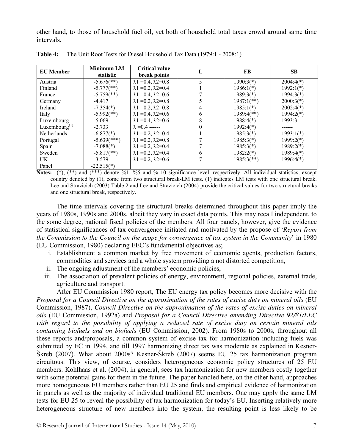other hand, to those of household fuel oil, yet both of household total taxes crowd around same time intervals.

| <b>EU</b> Member    | <b>Minimum LM</b><br>statistic | <b>Critical value</b><br>break points | L | FB                       | <b>SB</b>   |
|---------------------|--------------------------------|---------------------------------------|---|--------------------------|-------------|
| Austria             | $-5.676$ <sup>**</sup> )       | $\lambda$ 1 = 0.4, $\lambda$ 2 = 0.8  |   | $1990:3(*)$              | $2004:4(*)$ |
| Finland             | $-5.777$ (**)                  | $\lambda$ 1 = 0.2, $\lambda$ 2 = 0.4  |   | $1986:1(*)$              | $1992:1(*)$ |
| France              | $-5.759$ <sup>**</sup> )       | $\lambda$ 1 = 0.4, $\lambda$ 2 = 0.6  |   | $1989:3(*)$              | $1994:3(*)$ |
| Germany             | $-4.417$                       | $\lambda$ 1 = 0.2, $\lambda$ 2 = 0.8  |   | $1987:1(**)$             | $2000:3(*)$ |
| Ireland             | $-7.354(*)$                    | $\lambda$ 1 = 0.2, $\lambda$ 2 = 0.8  |   | $1985:1(*)$              | $2002:4(*)$ |
| Italy               | $-5.992$ (**)                  | $\lambda$ 1 = 0.4, $\lambda$ 2=0.6    | 6 | $1989:4(**)$             | $1994:2(*)$ |
| Luxembourg          | $-5.069$                       | $\lambda$ 1 = 0.4, $\lambda$ 2 = 0.6  |   | $1988:4(*)$              | 1993:3      |
| Luxembourg $^{(1)}$ | $-2.733$                       | $\lambda = 0.4$ ------                |   | $1992:4(*)$              |             |
| Netherlands         | $-6.877(*)$                    | $\lambda$ 1 = 0.2, $\lambda$ 2 = 0.4  |   | $1985:3(*)$              | $1993:1(*)$ |
| Portugal            | $-5.639$ <sup>(***</sup> )     | $\lambda$ 1 = 0.2, $\lambda$ 2 = 0.8  |   | $1985:3(*)$              | $1999:2(*)$ |
| Spain               | $-7.088(*)$                    | $\lambda$ 1 = 0.2, $\lambda$ 2=0.4    |   | $1985:3(*)$              | $1989:2(*)$ |
| Sweden              | $-5.817$ <sup>**</sup> )       | $\lambda$ 1 = 0.2, $\lambda$ 2=0.4    | 6 | $1982:2(*)$              | $1989:4(*)$ |
| UK.                 | $-3.579$                       | $\lambda$ 1 = 0.2, $\lambda$ 2 = 0.6  |   | $1985:3$ <sup>**</sup> ) | $1996:4(*)$ |
| Panel               | $-22.515(*)$                   |                                       |   |                          |             |

**Table 4:** The Unit Root Tests for Diesel Household Tax Data (1979:1 - 2008:1)

**Notes:**  $(*)$ ,  $(**)$  and  $(***)$  denote %1, %5 and % 10 significance level, respectively. All individual statistics, except country denoted by (1), come from two structural break-LM tests. (1) indicates LM tests with one structural break. Lee and Strazicich (2003) Table 2 and Lee and Strazicich (2004) provide the critical values for two structural breaks and one structural break, respectively.

The time intervals covering the structural breaks determined throughout this paper imply the years of 1980s, 1990s and 2000s, albeit they vary in exact data points. This may recall independent, to the some degree, national fiscal policies of the members. All four panels, however, give the evidence of statistical significances of tax convergence initiated and motivated by the propose of '*Report from the Commission to the Council on the scope for convergence of tax system in the Community*' in 1980 (EU Commission, 1980) declaring EEC's fundamental objectives as;

- i. Establishment a common market by free movement of economic agents, production factors, commodities and services and a whole system providing a not distorted competition,
- ii. The ongoing adjustment of the members' economic policies,
- iii. The association of prevalent policies of energy, environment, regional policies, external trade, agriculture and transport.

After EU Commission 1980 report, The EU energy tax policy becomes more decisive with the *Proposal for a Council Directive on the approximation of the rates of excise duty on mineral oils* (EU Commission, 1987), *Council Directive on the approximation of the rates of excise duties on mineral oils* (EU Commission, 1992a) and *Proposal for a Council Directive amending Directive 92/81/EEC with regard to the possibility of applying a reduced rate of excise duty on certain mineral oils containing biofuels and on biofuels* (EU Commission, 2002). From 1980s to 2000s, throughout all these reports and/proposals, a common system of excise tax for harmonization including fuels was submitted by EC in 1994, and till 1997 harmonizing direct tax was moderate as explained in Kesner-Škreb (2007). What about 2000s? Kesner-Škreb (2007) seems EU 25 tax harmonization program circuitous. This view, of course, considers heterogeneous economic policy structures of 25 EU members. Kohlhaas et al. (2004), in general, sees tax harmonization for new members costly together with some potential gains for them in the future. The paper handled here, on the other hand, approaches more homogeneous EU members rather than EU 25 and finds and empirical evidence of harmonization in panels as well as the majority of individual traditional EU members. One may apply the same LM tests for EU 25 to reveal the possibility of tax harmonization for today's EU. Inserting relatively more heterogeneous structure of new members into the system, the resulting point is less likely to be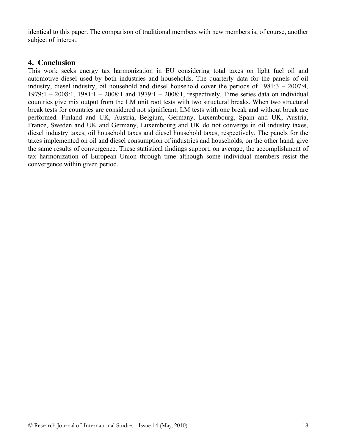identical to this paper. The comparison of traditional members with new members is, of course, another subject of interest.

### **4. Conclusion**

This work seeks energy tax harmonization in EU considering total taxes on light fuel oil and automotive diesel used by both industries and households. The quarterly data for the panels of oil industry, diesel industry, oil household and diesel household cover the periods of 1981:3 – 2007:4, 1979:1 – 2008:1, 1981:1 – 2008:1 and 1979:1 – 2008:1, respectively. Time series data on individual countries give mix output from the LM unit root tests with two structural breaks. When two structural break tests for countries are considered not significant, LM tests with one break and without break are performed. Finland and UK, Austria, Belgium, Germany, Luxembourg, Spain and UK, Austria, France, Sweden and UK and Germany, Luxembourg and UK do not converge in oil industry taxes, diesel industry taxes, oil household taxes and diesel household taxes, respectively. The panels for the taxes implemented on oil and diesel consumption of industries and households, on the other hand, give the same results of convergence. These statistical findings support, on average, the accomplishment of tax harmonization of European Union through time although some individual members resist the convergence within given period.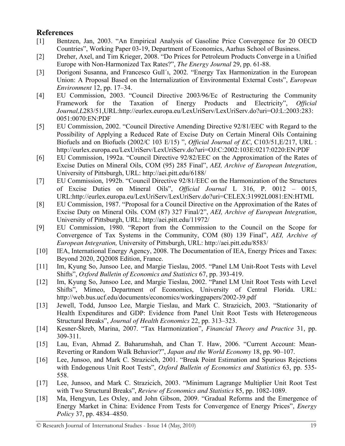# **References**

- [1] Bentzen, Jan, 2003. "An Empirical Analysis of Gasoline Price Convergence for 20 OECD Countries", Working Paper 03-19, Department of Economics, Aarhus School of Business.
- [2] Dreher, Axel, and Tim Krieger, 2008. "Do Prices for Petroleum Products Converge in a Unified Europe with Non-Harmonized Tax Rates?", *The Energy Journal* 29, pp. 61-88.
- [3] Dorigoni Susanna, and Francesco Gull´ı, 2002. "Energy Tax Harmonization in the European Union: A Proposal Based on the Internalization of Environmental External Costs", *European Environment* 12, pp. 17–34.
- [4] EU Commission, 2003. "Council Directive 2003/96/Ec of Restructuring the Community Framework for the Taxation of Energy Products and Electricity", *Official Journal,L*283/51,URL:http://eurlex.europa.eu/LexUriServ/LexUriServ.do?uri=OJ:L:2003:283: 0051:0070:EN:PDF
- [5] EU Commission, 2002. "Council Directive Amending Directive 92/81/EEC with Regard to the Possibility of Applying a Reduced Rate of Excise Duty on Certain Mineral Oils Containing Biofuels and on Biofuels (2002/C 103 E/15) ", *Official Journal of EC*, C103/51,E/217, URL : http://eurlex.europa.eu/LexUriServ/LexUriServ.do?uri=OJ:C:2002:103E:0217:0220:EN:PDF
- [6] EU Commission, 1992a. "Council Directive 92/82/EEC on the Approximation of the Rates of Excise Duties on Mineral Oils, COM (95) 285 Final", *AEI, Archive of European Integration*, University of Pittsburgh, URL: http://aei.pitt.edu/6188/
- [7] EU Commission, 1992b. "Council Directive 92/81/EEC on the Harmonization of the Structures of Excise Duties on Mineral Oils", *Official Journal* L 316, P. 0012 – 0015, URL:http://eurlex.europa.eu/LexUriServ/LexUriServ.do?uri=CELEX:31992L0081:EN:HTML
- [8] EU Commission, 1987. "Proposal for a Council Directive on the Approximation of the Rates of Excise Duty on Mineral Oils. COM (87) 327 Final/2", *AEI, Archive of European Integration*, University of Pittsburgh, URL: http://aei.pitt.edu/11972/
- [9] EU Commission, 1980. "Report from the Commission to the Council on the Scope for Convergence of Tax Systems in the Community, COM (80) 139 Final", *AEI, Archive of European Integration,* University of Pittsburgh, URL: http://aei.pitt.edu/8583/
- [10] IEA, International Energy Agency, 2008. The Documentation of IEA, Energy Prices and Taxes: Beyond 2020, 2Q2008 Edition, France.
- [11] Im, Kyung So, Junsoo Lee, and Margie Tieslau, 2005. "Panel LM Unit-Root Tests with Level Shifts", *Oxford Bulletin of Economics and Statistics* 67, pp. 393-419.
- [12] Im, Kyung So, Junsoo Lee, and Margie Tieslau, 2002. "Panel LM Unit Root Tests with Level Shifts", Mimeo, Department of Economics, University of Central Florida. URL: http://web.bus.ucf.edu/documents/economics/workingpapers/2002-39.pdf
- [13] Jewell, Todd, Junsoo Lee, Margie Tieslau, and Mark C. Strazicich, 2003. "Stationarity of Health Expenditures and GDP: Evidence from Panel Unit Root Tests with Heterogeneous Structural Breaks", *Journal of Health Economics* 22, pp. 313–323.
- [14] Kesner-Škreb, Marina, 2007. "Tax Harmonization", *Financial Theory and Practice* 31, pp. 309-311.
- [15] Lau, Evan, Ahmad Z. Baharumshah, and Chan T. Haw, 2006. "Current Account: Mean-Reverting or Random Walk Behavior?", *Japan and the World Economy* 18, pp. 90–107.
- [16] Lee, Junsoo, and Mark C. Strazicich, 2001. "Break Point Estimation and Spurious Rejections with Endogenous Unit Root Tests", *Oxford Bulletin of Economics and Statistics* 63, pp. 535- 558.
- [17] Lee, Junsoo, and Mark C. Strazicich, 2003. "Minimum Lagrange Multiplier Unit Root Test with Two Structural Breaks", *Review of Economics and Statistics* 85, pp. 1082-1089.
- [18] Ma, Hengyun, Les Oxley, and John Gibson, 2009. "Gradual Reforms and the Emergence of Energy Market in China: Evidence From Tests for Convergence of Energy Prices", *Energy Policy* 37, pp. 4834–4850.